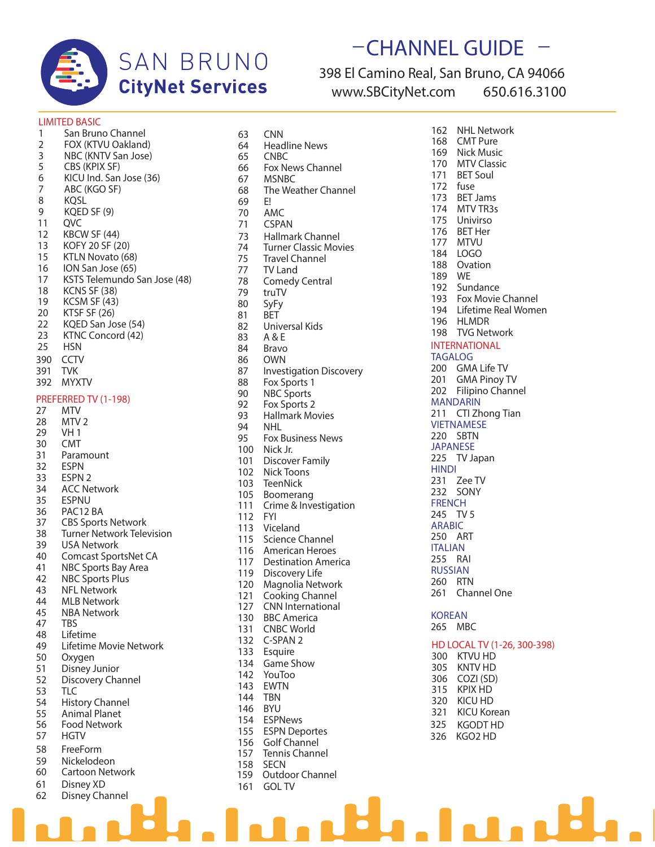

# **SAN BRUNO CityNet Services**

# **\_CHANNEL GUIDE \_** 398 El Camino Real, San Bruno, CA 94066

**www.SBCityNet.com 650.616.3100**

### **LIMITED BASIC**

|                | LIMITED BASIC                    |
|----------------|----------------------------------|
| 1              | San Bruno Channel                |
| $\overline{2}$ | FOX (KTVU Oakland)               |
| $\frac{1}{2}$  | NBC (KNTV San Jose)              |
| 5              | CBS (KPIX SF)                    |
| 6              | KICU Ind. San Jose (36)          |
| $\overline{7}$ | ABC (KGO SF)                     |
| 8              | <b>KQSL</b>                      |
| 9              | KQED SF (9)                      |
|                |                                  |
| 11             | QVC                              |
| 12             | KBCW SF (44)                     |
| 13             | KOFY 20 SF (20)                  |
| 15             | KTLN Novato (68)                 |
| 16             | ION San Jose (65)                |
| 17             | KSTS Telemundo San Jose (48)     |
| 18             | KCNS SF (38)                     |
| 19             | KCSM SF (43)                     |
| 20             | KTSF SF (26)                     |
| 22             | KQED San Jose (54)               |
| 23             | KTNC Concord (42)                |
|                |                                  |
| 25             | <b>HSN</b>                       |
| 390            | <b>CCTV</b>                      |
| 391            | <b>TVK</b>                       |
| 392            | <b>MYXTV</b>                     |
|                |                                  |
|                | PREFERRED TV (1-198)             |
| 27             | MTV                              |
| 28             | MTV 2                            |
| 29             | VH 1                             |
| 30             | CMT                              |
| 31             | Paramount                        |
| 32             | <b>ESPN</b>                      |
| 33             | ESPN 2                           |
| 34             | <b>ACC Network</b>               |
| 35             | <b>ESPNU</b>                     |
| 36             | PAC12 BA                         |
|                |                                  |
| 37             | <b>CBS Sports Network</b>        |
| 38             | <b>Turner Network Television</b> |
| 39             | <b>USA Network</b>               |
| 40             | Comcast SportsNet CA             |
| 41             | NBC Sports Bay Area              |
| 42             | NBC Sports Plus                  |
| 43             | <b>NFL Network</b>               |
| 44             | MLB Network                      |
| 45             | <b>NBA Network</b>               |
| 47             | TBS                              |
| 48             | Lifetime                         |
| 49             | Lifetime Movie Network           |
|                |                                  |
| 50             | Oxygen                           |
| 51             | Disney Junior                    |
| 52             | Discovery Channel                |
| 53             | TLC                              |
| 54             | <b>History Channel</b>           |
| 55             | <b>Animal Planet</b>             |
| 56             | <b>Food Network</b>              |
| 57             | <b>HGTV</b>                      |
| 58             | FreeForm                         |
|                |                                  |
| 59             | Nickelodeon                      |
| 60             | Cartoon Network                  |
| 61             | Disney XD                        |
| 62             | Disney Channel                   |

| 63  | CNN                            |
|-----|--------------------------------|
| 64  | <b>Headline News</b>           |
| 65  | <b>CNBC</b>                    |
| 66  | Fox News Channel               |
| 67  | MSNBC                          |
| 68  | The Weather Channel            |
| 69  | E!                             |
|     |                                |
| 70  | AMC                            |
| 71  | <b>CSPAN</b>                   |
| 73  | Hallmark Channel               |
| 74  | <b>Turner Classic Movies</b>   |
| 75  | <b>Travel Channel</b>          |
| 77  | TV Land                        |
| 78  | <b>Comedy Central</b>          |
| 79  | truTV                          |
| 80  | SyFy                           |
| 81  | BET                            |
| 82  | Universal Kids                 |
|     |                                |
| 83  | A & E                          |
| 84  | Bravo                          |
| 86  | OWN                            |
| 87  | <b>Investigation Discovery</b> |
| 88  | Fox Sports 1                   |
| 90  | <b>NBC Sports</b>              |
| 92  | Fox Sports 2                   |
| 93  | <b>Hallmark Movies</b>         |
| 94  | NHL                            |
| 95  | Fox Business News              |
| 100 | Nick Jr.                       |
| 101 | <b>Discover Family</b>         |
|     | Nick Toons                     |
| 102 |                                |
| 103 | TeenNick                       |
| 105 | Boomerang                      |
| 111 | Crime & Investigation          |
| 112 | <b>FYI</b>                     |
| 113 | Viceland                       |
| 115 | <b>Science Channel</b>         |
| 116 | American Heroes                |
| 117 | <b>Destination America</b>     |
| 119 | Discovery Life                 |
| 120 | Magnolia Network               |
| 121 | <b>Cooking Channel</b>         |
| 127 | <b>CNN International</b>       |
| 130 | <b>BBC America</b>             |
|     |                                |
| 131 | <b>CNBC World</b>              |
| 132 | C-SPAN 2                       |
| 133 | Esquire                        |
| 134 | Game Show                      |
| 142 | YouToo                         |
| 143 | <b>EWTN</b>                    |
| 144 | TBN                            |
| 146 | <b>BYU</b>                     |
| 154 | <b>ESPNews</b>                 |
| 155 | <b>ESPN Deportes</b>           |
| 156 | Golf Channel                   |
| 157 | <b>Tennis Channel</b>          |
|     |                                |
| 158 | <b>SECN</b><br>Outdoor Channel |
| 159 |                                |
| 161 | <b>GOL TV</b>                  |

162 NHL Network<br>168 CMT Pure 168 CMT Pure<br>169 Nick Musi 169 Nick Music<br>170 MTV Classie 170 MTV Classic<br>171 BET Soul **BET Soul** 172 fuse 173 BET Jams 174 MTV TR3s 175 Univirso 176 BET Her 177 MTVU 184 LOGO 188 Ovation<br>189 WE 189 192 Sundance 193 Fox Movie Channel 194 Lifetime Real Women 196 HLMDR 198 TVG Network **INTERNATIONAL TAGALOG** 200 GMA Life TV 201 GMA Pinoy TV 202 Filipino Channel **MANDARIN** 211 CTI Zhong Tian **VIETNAMESE** 220 SBTN **JAPANESE** 225 TV Japan **HINDI** 231 Zee TV 232 SONY **FRENCH** 245 TV 5 **ARABIC** 250 ART **ITALIAN** 255 RAI **RUSSIAN** 260 RTN 261 Channel One **KOREAN** 265 MBC **HD LOCAL TV (1-26, 300-398)** 300 KTVU HD 305 KNTV HD 306 COZI (SD) 315 KPIX HD 320 KICU HD<br>321 KICU Kor **KICU Korean** 

- 325 KGODT HD
- 326 KGO2 HD